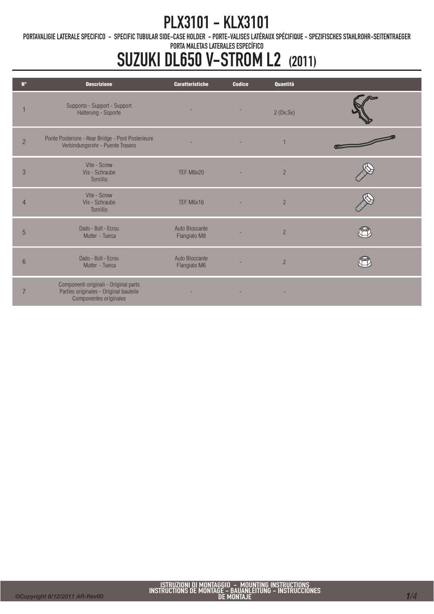### PLX3101 - KLX3101

PORTAVALIGIE LATERALE SPECIFICO - SPECIFIC TUBULAR SIDE-CASE HOLDER - PORTE-VALISES LATÉRAUX SPÉCIFIQUE - SPEZIFISCHES STAHLROHR-SEITENTRAEGER

PORTA MALETAS LATERALES ESPECÍFICO

## SUZUKI DL650 V-STROM L2 (2011)

| $N^{\circ}$    | <b>Descrizione</b>                                                                                        | <b>Caratteristiche</b>         | <b>Codice</b> | Quantità       |  |
|----------------|-----------------------------------------------------------------------------------------------------------|--------------------------------|---------------|----------------|--|
|                | Supporto - Support - Support<br>Halterung - Soporte                                                       |                                |               | 2(Dx, Sx)      |  |
| $\overline{2}$ | Ponte Posteriore - Rear Bridge - Pont Posterieure<br>Verbindungsrohr - Puente Trasero                     |                                |               |                |  |
| 3              | Vite - Screw<br>Vis - Schraube<br>Tornillo                                                                | TEF M8x20                      |               | $\overline{2}$ |  |
|                | Vite - Screw<br>Vis - Schraube<br>Tornillo                                                                | TEF M6x16                      |               | $\overline{2}$ |  |
| 5              | Dado - Bolt - Ecrou<br>Mutter - Tuerca                                                                    | Auto Bloccante<br>Flangiato M8 |               | $\overline{2}$ |  |
| $6\phantom{1}$ | Dado - Bolt - Ecrou<br>Mutter - Tuerca                                                                    | Auto Bloccante<br>Flangiato M6 |               | $\overline{2}$ |  |
|                | Componenti originali - Original parts<br>Parties originales - Original bauteile<br>Componentes originales |                                |               |                |  |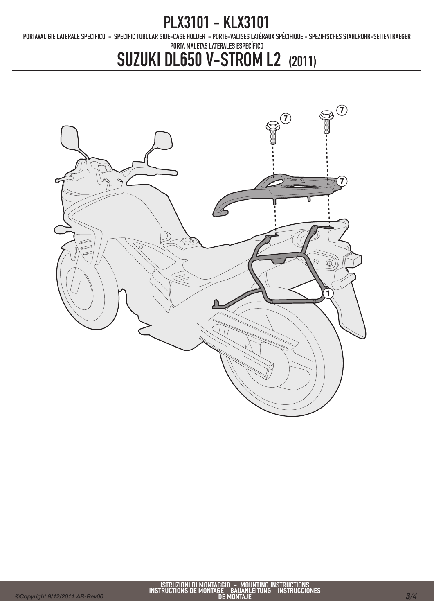#### PLX3101 - KLX3101

PORTAVALIGIE LATERALE SPECIFICO - SPECIFIC TUBULAR SIDE-CASE HOLDER - PORTE-VALISES LATÉRAUX SPÉCIFIQUE - SPEZIFISCHES STAHLROHR-SEITENTRAEGER

PORTA MALETAS LATERALES ESPECÍFICO

## SUZUKI DL650 V-STROM L2 (2011)